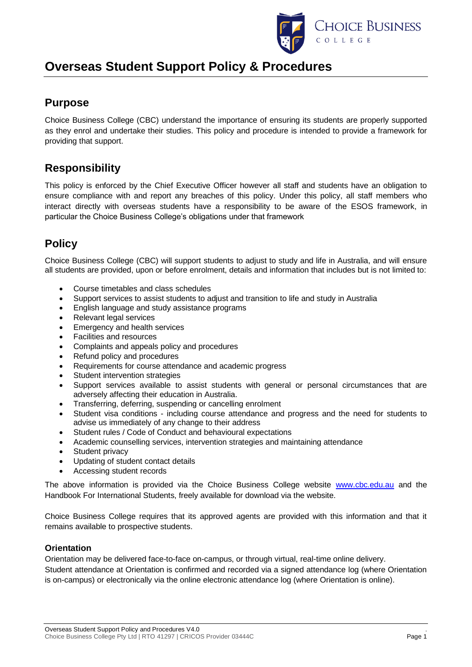

# **Overseas Student Support Policy & Procedures**

### **Purpose**

Choice Business College (CBC) understand the importance of ensuring its students are properly supported as they enrol and undertake their studies. This policy and procedure is intended to provide a framework for providing that support.

## **Responsibility**

This policy is enforced by the Chief Executive Officer however all staff and students have an obligation to ensure compliance with and report any breaches of this policy. Under this policy, all staff members who interact directly with overseas students have a responsibility to be aware of the ESOS framework, in particular the Choice Business College's obligations under that framework

## **Policy**

Choice Business College (CBC) will support students to adjust to study and life in Australia, and will ensure all students are provided, upon or before enrolment, details and information that includes but is not limited to:

- Course timetables and class schedules
- Support services to assist students to adjust and transition to life and study in Australia
- English language and study assistance programs
- Relevant legal services
- Emergency and health services
- Facilities and resources
- Complaints and appeals policy and procedures
- Refund policy and procedures
- Requirements for course attendance and academic progress
- Student intervention strategies
- Support services available to assist students with general or personal circumstances that are adversely affecting their education in Australia.
- Transferring, deferring, suspending or cancelling enrolment
- Student visa conditions including course attendance and progress and the need for students to advise us immediately of any change to their address
- Student rules / Code of Conduct and behavioural expectations
- Academic counselling services, intervention strategies and maintaining attendance
- Student privacy
- Updating of student contact details
- Accessing student records

The above information is provided via the Choice Business College website [www.cbc.edu.au](http://www.cbc.edu.au/) and the Handbook For International Students, freely available for download via the website.

Choice Business College requires that its approved agents are provided with this information and that it remains available to prospective students.

### **Orientation**

Orientation may be delivered face-to-face on-campus, or through virtual, real-time online delivery. Student attendance at Orientation is confirmed and recorded via a signed attendance log (where Orientation is on-campus) or electronically via the online electronic attendance log (where Orientation is online).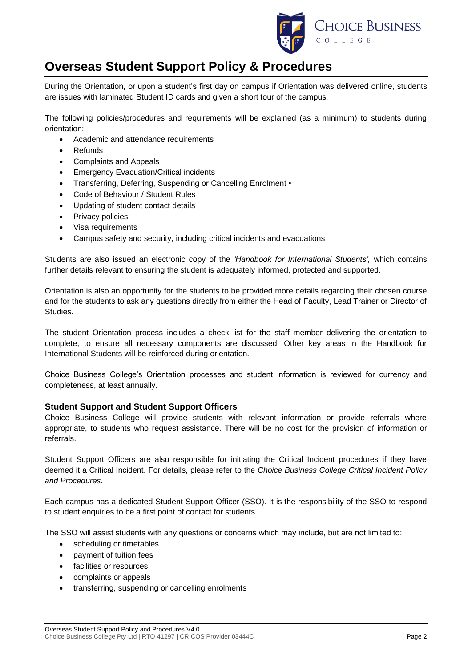

# **Overseas Student Support Policy & Procedures**

During the Orientation, or upon a student's first day on campus if Orientation was delivered online, students are issues with laminated Student ID cards and given a short tour of the campus.

The following policies/procedures and requirements will be explained (as a minimum) to students during orientation:

- Academic and attendance requirements
- **Refunds**
- Complaints and Appeals
- Emergency Evacuation/Critical incidents
- Transferring, Deferring, Suspending or Cancelling Enrolment •
- Code of Behaviour / Student Rules
- Updating of student contact details
- Privacy policies
- Visa requirements
- Campus safety and security, including critical incidents and evacuations

Students are also issued an electronic copy of the *'Handbook for International Students',* which contains further details relevant to ensuring the student is adequately informed, protected and supported.

Orientation is also an opportunity for the students to be provided more details regarding their chosen course and for the students to ask any questions directly from either the Head of Faculty, Lead Trainer or Director of Studies.

The student Orientation process includes a check list for the staff member delivering the orientation to complete, to ensure all necessary components are discussed. Other key areas in the Handbook for International Students will be reinforced during orientation.

Choice Business College's Orientation processes and student information is reviewed for currency and completeness, at least annually.

### **Student Support and Student Support Officers**

Choice Business College will provide students with relevant information or provide referrals where appropriate, to students who request assistance. There will be no cost for the provision of information or referrals.

Student Support Officers are also responsible for initiating the Critical Incident procedures if they have deemed it a Critical Incident. For details, please refer to the *Choice Business College Critical Incident Policy and Procedures.*

Each campus has a dedicated Student Support Officer (SSO). It is the responsibility of the SSO to respond to student enquiries to be a first point of contact for students.

The SSO will assist students with any questions or concerns which may include, but are not limited to:

- scheduling or timetables
- payment of tuition fees
- facilities or resources
- complaints or appeals
- transferring, suspending or cancelling enrolments